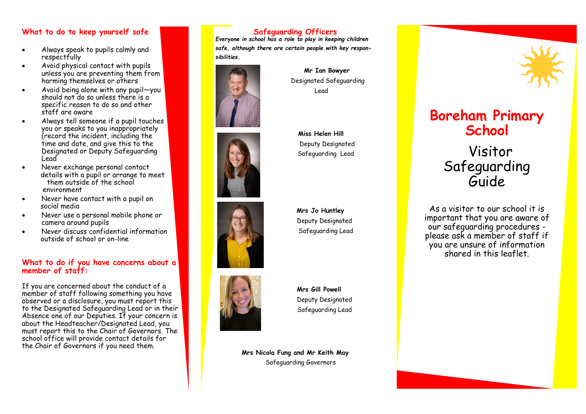#### **What to do to keep yourself safe**

- Always speak to pupils calmly and respectfully
- Avoid physical contact with pupils unless you are preventing them from harming themselves or others
- Avoid being alone with any pupil—you should not do so unless there is a specific reason to do so and other staff are aware
- Always tell someone if a pupil touches you or speaks to you inappropriately (record the incident, including the time and date, and give this to the Designated or Deputy Safeguarding Lead
- Never exchange personal contact details with a pupil or arrange to meet them outside of the school environment
- Never have contact with a pupil on social media
- Never use a personal mobile phone or camera around pupils
- Never discuss confidential information outside of school or on-line

#### **What to do if you have concerns about a member of staff:**

If you are concerned about the conduct of a member of staff following something you have observed or a disclosure, you must report this to the Designated Safeguarding Lead or in their Absence one of our Deputies. If your concern is about the Headteacher/Designated Lead, you must report this to the Chair of Governors. The school office will provide contact details for the Chair of Governors if you need them.

### **Safeguarding Officers**

*Everyone in school has a role to play in keeping children safe, although there are certain people with key responsibilities.* 



 **Mr Ian Bowyer**  Designated Safeguarding Lead



 **Miss Helen Hill** Deputy Designated Safeguarding Lead



**Mrs Jo Huntley** Deputy Designated Safeguarding Lead



**Mrs Gill Powell** Deputy Designated Safeguarding Lead

**Mrs Nicola Fung and Mr Keith May** Safeguarding Governors



# **Boreham Primary School**

Visitor Safeguarding Guide.

As a visitor to our school it is important that you are aware of our safeguarding procedures please ask a member of staff if you are unsure of information shared in this leaflet.